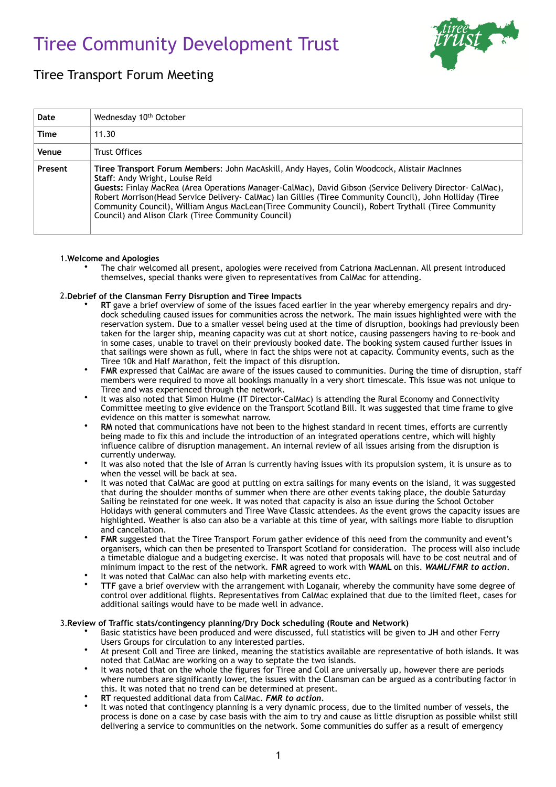# Tiree Community Development Trust



# Tiree Transport Forum Meeting

| Date    | Wednesday 10 <sup>th</sup> October                                                                                                                                                                                                                                                                                                                                                                                                                                                                                           |
|---------|------------------------------------------------------------------------------------------------------------------------------------------------------------------------------------------------------------------------------------------------------------------------------------------------------------------------------------------------------------------------------------------------------------------------------------------------------------------------------------------------------------------------------|
| Time    | 11.30                                                                                                                                                                                                                                                                                                                                                                                                                                                                                                                        |
| Venue   | Trust Offices                                                                                                                                                                                                                                                                                                                                                                                                                                                                                                                |
| Present | Tiree Transport Forum Members: John MacAskill, Andy Hayes, Colin Woodcock, Alistair MacInnes<br>Staff: Andy Wright, Louise Reid<br>Guests: Finlay MacRea (Area Operations Manager-CalMac), David Gibson (Service Delivery Director- CalMac),<br>Robert Morrison (Head Service Delivery - CalMac) Ian Gillies (Tiree Community Council), John Holliday (Tiree<br>Community Council), William Angus MacLean (Tiree Community Council), Robert Trythall (Tiree Community<br>Council) and Alison Clark (Tiree Community Council) |

## 1.**Welcome and Apologies**

• The chair welcomed all present, apologies were received from Catriona MacLennan. All present introduced themselves, special thanks were given to representatives from CalMac for attending.

## 2.**Debrief of the Clansman Ferry Disruption and Tiree Impacts**

- **RT** gave a brief overview of some of the issues faced earlier in the year whereby emergency repairs and drydock scheduling caused issues for communities across the network. The main issues highlighted were with the reservation system. Due to a smaller vessel being used at the time of disruption, bookings had previously been taken for the larger ship, meaning capacity was cut at short notice, causing passengers having to re-book and in some cases, unable to travel on their previously booked date. The booking system caused further issues in that sailings were shown as full, where in fact the ships were not at capacity. Community events, such as the Tiree 10k and Half Marathon, felt the impact of this disruption.
- **FMR** expressed that CalMac are aware of the issues caused to communities. During the time of disruption, staff members were required to move all bookings manually in a very short timescale. This issue was not unique to Tiree and was experienced through the network.
- It was also noted that Simon Hulme (IT Director-CalMac) is attending the Rural Economy and Connectivity Committee meeting to give evidence on the Transport Scotland Bill. It was suggested that time frame to give evidence on this matter is somewhat narrow.
- **RM** noted that communications have not been to the highest standard in recent times, efforts are currently being made to fix this and include the introduction of an integrated operations centre, which will highly influence calibre of disruption management. An internal review of all issues arising from the disruption is currently underway.
- It was also noted that the Isle of Arran is currently having issues with its propulsion system, it is unsure as to when the vessel will be back at sea.
- It was noted that CalMac are good at putting on extra sailings for many events on the island, it was suggested that during the shoulder months of summer when there are other events taking place, the double Saturday Sailing be reinstated for one week. It was noted that capacity is also an issue during the School October Holidays with general commuters and Tiree Wave Classic attendees. As the event grows the capacity issues are highlighted. Weather is also can also be a variable at this time of year, with sailings more liable to disruption and cancellation.
- **FMR** suggested that the Tiree Transport Forum gather evidence of this need from the community and event's organisers, which can then be presented to Transport Scotland for consideration. The process will also include a timetable dialogue and a budgeting exercise. It was noted that proposals will have to be cost neutral and of minimum impact to the rest of the network. **FMR** agreed to work with **WAML** on this. *WAML/FMR to action.*
- It was noted that CalMac can also help with marketing events etc.
- **TTF** gave a brief overview with the arrangement with Loganair, whereby the community have some degree of control over additional flights. Representatives from CalMac explained that due to the limited fleet, cases for additional sailings would have to be made well in advance.

## 3.**Review of Traffic stats/contingency planning/Dry Dock scheduling (Route and Network)**

- Basic statistics have been produced and were discussed, full statistics will be given to **JH** and other Ferry Users Groups for circulation to any interested parties.
	- At present Coll and Tiree are linked, meaning the statistics available are representative of both islands. It was noted that CalMac are working on a way to septate the two islands.
- It was noted that on the whole the figures for Tiree and Coll are universally up, however there are periods where numbers are significantly lower, the issues with the Clansman can be argued as a contributing factor in this. It was noted that no trend can be determined at present.
- **RT** requested additional data from CalMac. *FMR to action.*
- It was noted that contingency planning is a very dynamic process, due to the limited number of vessels, the process is done on a case by case basis with the aim to try and cause as little disruption as possible whilst still delivering a service to communities on the network. Some communities do suffer as a result of emergency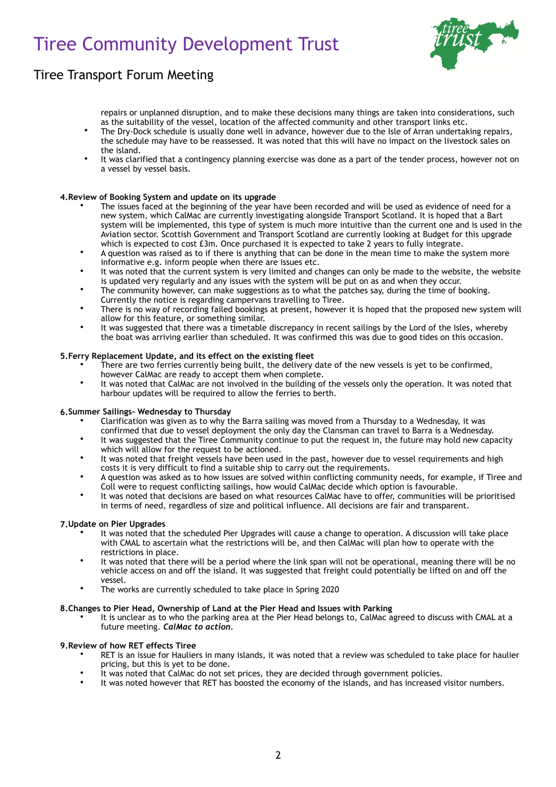# Tiree Community Development Trust



# Tiree Transport Forum Meeting

repairs or unplanned disruption, and to make these decisions many things are taken into considerations, such as the suitability of the vessel, location of the affected community and other transport links etc.

- The Dry-Dock schedule is usually done well in advance, however due to the Isle of Arran undertaking repairs, the schedule may have to be reassessed. It was noted that this will have no impact on the livestock sales on the island.
- It was clarified that a contingency planning exercise was done as a part of the tender process, however not on a vessel by vessel basis.

## **4.Review of Booking System and update on its upgrade**

- The issues faced at the beginning of the year have been recorded and will be used as evidence of need for a new system, which CalMac are currently investigating alongside Transport Scotland. It is hoped that a Bart system will be implemented, this type of system is much more intuitive than the current one and is used in the Aviation sector. Scottish Government and Transport Scotland are currently looking at Budget for this upgrade which is expected to cost £3m. Once purchased it is expected to take 2 years to fully integrate.
- A question was raised as to if there is anything that can be done in the mean time to make the system more informative e.g. inform people when there are issues etc.
- It was noted that the current system is very limited and changes can only be made to the website, the website is updated very regularly and any issues with the system will be put on as and when they occur.
- The community however, can make suggestions as to what the patches say, during the time of booking. Currently the notice is regarding campervans travelling to Tiree.
- There is no way of recording failed bookings at present, however it is hoped that the proposed new system will allow for this feature, or something similar.
- It was suggested that there was a timetable discrepancy in recent sailings by the Lord of the Isles, whereby the boat was arriving earlier than scheduled. It was confirmed this was due to good tides on this occasion.

#### **5.Ferry Replacement Update, and its effect on the existing fleet**

- There are two ferries currently being built, the delivery date of the new vessels is yet to be confirmed, however CalMac are ready to accept them when complete.
- It was noted that CalMac are not involved in the building of the vessels only the operation. It was noted that harbour updates will be required to allow the ferries to berth.

#### **6.Summer Sailings- Wednesday to Thursday**

- Clarification was given as to why the Barra sailing was moved from a Thursday to a Wednesday, it was confirmed that due to vessel deployment the only day the Clansman can travel to Barra is a Wednesday.
- It was suggested that the Tiree Community continue to put the request in, the future may hold new capacity which will allow for the request to be actioned.
- It was noted that freight vessels have been used in the past, however due to vessel requirements and high costs it is very difficult to find a suitable ship to carry out the requirements.
- A question was asked as to how issues are solved within conflicting community needs, for example, if Tiree and Coll were to request conflicting sailings, how would CalMac decide which option is favourable.
- It was noted that decisions are based on what resources CalMac have to offer, communities will be prioritised in terms of need, regardless of size and political influence. All decisions are fair and transparent.

#### **7.Update on Pier Upgrades**

- It was noted that the scheduled Pier Upgrades will cause a change to operation. A discussion will take place with CMAL to ascertain what the restrictions will be, and then CalMac will plan how to operate with the restrictions in place.
- It was noted that there will be a period where the link span will not be operational, meaning there will be no vehicle access on and off the island. It was suggested that freight could potentially be lifted on and off the vessel.
- The works are currently scheduled to take place in Spring 2020

#### **8.Changes to Pier Head, Ownership of Land at the Pier Head and Issues with Parking**

• It is unclear as to who the parking area at the Pier Head belongs to, CalMac agreed to discuss with CMAL at a future meeting. *CalMac to action.* 

#### **9.Review of how RET effects Tiree**

- RET is an issue for Hauliers in many islands, it was noted that a review was scheduled to take place for haulier pricing, but this is yet to be done.
- It was noted that CalMac do not set prices, they are decided through government policies.
- It was noted however that RET has boosted the economy of the islands, and has increased visitor numbers.